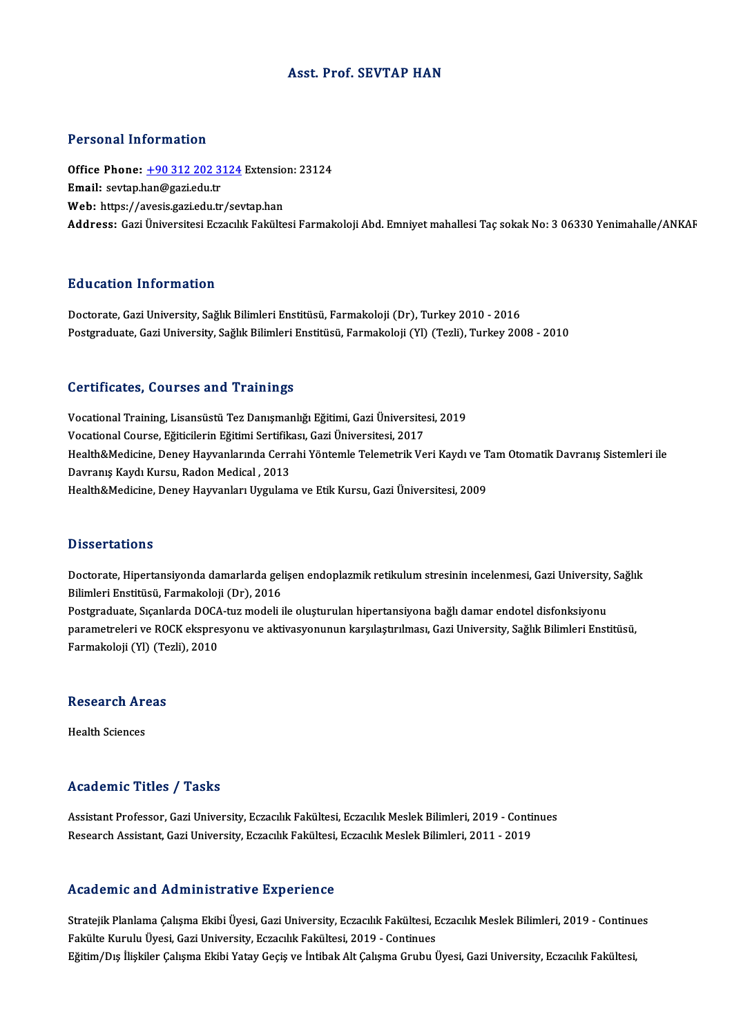# Asst. Prof. SEVTAP HAN

# Personal Information

Personal Information<br>Office Phone: <u>+90 312 202 3124</u> Extension: 23124<br>Email: seytap ban@gari.edu.tr Procedure Hirochiaction<br>Office Phone: <u>+90 312 202 3</u><br>Email: sevtap.[han@gazi.edu.tr](tel:+90 312 202 3124) Office Phone: <u>+90 312 202 3124</u> Extensio<br>Email: sevtap.han@gazi.edu.tr<br>Web: https://avesis.gazi.edu.tr/sevtap.han<br>Address. Cari Universitesi Estasukk Fekülte **Email:** sevtap.han@gazi.edu.tr<br>Web: https://avesis.gazi.edu.tr/sevtap.han<br>Address: Gazi Üniversitesi Eczacılık Fakültesi Farmakoloji Abd. Emniyet mahallesi Tac sokak No: 3 06330 Yenimahalle/ANKAF

# Education Information

Doctorate, Gazi University, Sağlık Bilimleri Enstitüsü, Farmakoloji (Dr), Turkey 2010 - 2016 Postgraduate, Gazi University, Sağlık Bilimleri Enstitüsü, Farmakoloji (Yl) (Tezli), Turkey 2008 - 2010

### Certificates, Courses and Trainings

Vocational Training, Lisansüstü Tez Danışmanlığı Eğitimi, Gazi Üniversitesi, 2019 Vocational Training, Lisansüstü Tez Danışmanlığı Eğitimi, Gazi Üniversite<br>Vocational Course, Eğiticilerin Eğitimi Sertifikası, Gazi Üniversitesi, 2017<br>Heskh &Medisine, Danay Hayvanlarında Carrabi Väntemle Telemetrik Ve Health&Medicine, Deney Hayvanlarında Cerrahi Yöntemle Telemetrik Veri Kaydı ve Tam Otomatik Davranış Sistemleri ile<br>Davranış Kaydı Kursu, Radon Medical , 2013 Vocational Course, Eğiticilerin Eğitimi Sertifik:<br>Health&Medicine, Deney Hayvanlarında Cerra<br>Davranış Kaydı Kursu, Radon Medical , 2013<br>Health&Medicine, Deney Hayvanları Uyguları Health&Medicine, Deney Hayvanları Uygulama ve Etik Kursu, Gazi Üniversitesi, 2009

# **Dissertations**

Dissertations<br>Doctorate, Hipertansiyonda damarlarda gelişen endoplazmik retikulum stresinin incelenmesi, Gazi University, Sağlık<br>Bilimleri Enstitüsü, Farmakaleji (Dr.), 2016 Bilboot catrono<br>Doctorate, Hipertansiyonda damarlarda gel<br>Bilimleri Enstitüsü, Farmakoloji (Dr), 2016<br>Bostanaduate, Sisanlarda DOCA, tur modeli i Doctorate, Hipertansiyonda damarlarda gelişen endoplazmik retikulum stresinin incelenmesi, Gazi University,<br>Bilimleri Enstitüsü, Farmakoloji (Dr), 2016<br>Postgraduate, Sıçanlarda DOCA-tuz modeli ile oluşturulan hipertansiyon Bilimleri Enstitüsü, Farmakoloji (Dr), 2016<br>Postgraduate, Sıçanlarda DOCA-tuz modeli ile oluşturulan hipertansiyona bağlı damar endotel disfonksiyonu<br>parametreleri ve ROCK ekspresyonu ve aktivasyonunun karşılaştırılması, G Postgraduate, Sıçanlarda DOCA<br>parametreleri ve ROCK ekspre:<br>Farmakoloji (Yl) (Tezli), 2010

# Farmakoloji (YI) (Tezli), 2010<br>Research Areas

Health Sciences

# Academic Titles / Tasks

Academic Titles / Tasks<br>Assistant Professor, Gazi University, Eczacılık Fakültesi, Eczacılık Meslek Bilimleri, 2019 - Continues<br>Researsh Assistant, Gazi University, Eczacılık Fakültesi, Eczacılık Meslek Bilimleri, 2011, 20 rreata enne "reree" y" raene<br>Assistant Professor, Gazi University, Eczacılık Fakültesi, Eczacılık Meslek Bilimleri, 2019 - Conti<br>Research Assistant, Gazi University, Eczacılık Fakültesi, Eczacılık Meslek Bilimleri, 2011 - Research Assistant, Gazi University, Eczacılık Fakültesi, Eczacılık Meslek Bilimleri, 2011 - 2019<br>Academic and Administrative Experience

Academic and Administrative Experience<br>Stratejik Planlama Çalışma Ekibi Üyesi, Gazi University, Eczacılık Fakültesi, Eczacılık Meslek Bilimleri, 2019 - Continues<br>Fakülte Kumılı Üyesi Cari University, Eszasult Fakültesi, 20 Fakülte Kurulu Trammisel acı ve Enperience<br>Stratejik Planlama Çalışma Ekibi Üyesi, Gazi University, Eczacılık Fakültesi, E<br>Făitim (Dıq İliakiler Columa Ekibi Yatay Cocis ve İntibal: Alt Columa Crubu İ Stratejik Planlama Çalışma Ekibi Üyesi, Gazi University, Eczacılık Fakültesi, Eczacılık Meslek Bilimleri, 2019 - Continu<br>Fakülte Kurulu Üyesi, Gazi University, Eczacılık Fakültesi, 2019 - Continues<br>Eğitim/Dış İlişkiler Çal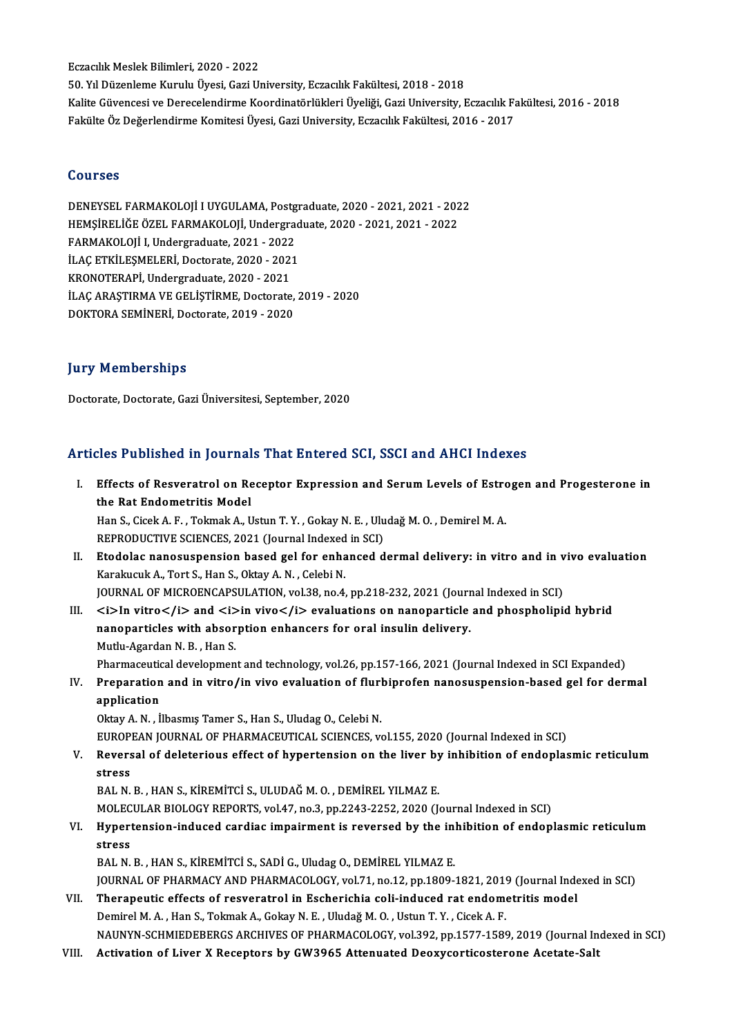Eczacılık Meslek Bilimleri, 2020 - 2022

50.YılDüzenlemeKuruluÜyesi,GaziUniversity,EczacılıkFakültesi,2018 -2018 Eczacılık Meslek Bilimleri, 2020 - 2022<br>50. Yıl Düzenleme Kurulu Üyesi, Gazi University, Eczacılık Fakültesi, 2018 - 2018<br>Kalite Güvencesi ve Derecelendirme Koordinatörlükleri Üyeliği, Gazi University, Eczacılık Fakültesi, 50. Yıl Düzenleme Kurulu Üyesi, Gazi University, Eczacılık Fakültesi, 2018 - 2018<br>Kalite Güvencesi ve Derecelendirme Koordinatörlükleri Üyeliği, Gazi University, Eczacılık Fa<br>Fakülte Öz Değerlendirme Komitesi Üyesi, Gazi U Fakülte Öz Değerlendirme Komitesi Üyesi, Gazi University, Eczacılık Fakültesi, 2016 - 2017<br>Courses

Courses<br>DENEYSEL FARMAKOLOJİ I UYGULAMA, Postgraduate, 2020 - 2021, 2021 - 2022<br>HEMSİREJİĞE ÖZEL FARMAKOLOJİ Undersraduata 2020, 2021, 2021, 2022 SSATESS<br>DENEYSEL FARMAKOLOJİ I UYGULAMA, Postgraduate, 2020 - 2021, 2021 - 202<br>HEMŞİRELİĞE ÖZEL FARMAKOLOJİ, Undergraduate, 2020 - 2021, 2021 - 2022<br>FARMAKOLOJİ I Undergraduate, 2021, ...2022 DENEYSEL FARMAKOLOJİ I UYGULAMA, Postg<br>HEMŞİRELİĞE ÖZEL FARMAKOLOJİ, Undergrad<br>FARMAKOLOJİ I, Undergraduate, 2021 - 2022<br>U.AC ETKÜ ESMELERİ, Dostorate, 2020, 2021 HEMŞİRELİĞE ÖZEL FARMAKOLOJİ, Undergrad<br>FARMAKOLOJİ I, Undergraduate, 2021 - 2022<br>İLAÇ ETKİLEŞMELERİ, Doctorate, 2020 - 2021<br>KRONOTERARİ Undergraduate, 2020 - 2021 FARMAKOLOJİ I, Undergraduate, 2021 - 2022<br>İLAÇ ETKİLEŞMELERİ, Doctorate, 2020 - 2021<br>KRONOTERAPİ, Undergraduate, 2020 - 2021<br>İLAÇ ARASTIRMA VE CELİSTİRME DOCtorate İLAÇ ETKİLEŞMELERİ, Doctorate, 2020 - 2021<br>KRONOTERAPİ, Undergraduate, 2020 - 2021<br>İLAÇ ARAŞTIRMA VE GELİŞTİRME, Doctorate, 2019 - 2020<br>DOKTORA SEMİNERİ, Dostorate, 2019, 2020 KRONOTERAPİ, Undergraduate, 2020 - 2021<br>İLAÇ ARAŞTIRMA VE GELİŞTİRME, Doctorate,<br>DOKTORA SEMİNERİ, Doctorate, 2019 - 2020 DOKTORA SEMİNERİ, Doctorate, 2019 - 2020<br>Jury Memberships

Doctorate, Doctorate, Gazi Üniversitesi, September, 2020

# Articles Published in Journals That Entered SCI, SSCI and AHCI Indexes

rticles Published in Journals That Entered SCI, SSCI and AHCI Indexes<br>I. Effects of Resveratrol on Receptor Expression and Serum Levels of Estrogen and Progesterone in<br>the Pat Endemetritic Model **Effects of Resveratrol on Reflects of Resveratrol on Reflects**<br>the Rat Endometritis Model<br>Han S. Gisek A. E., Telmek A. U Effects of Resveratrol on Receptor Expression and Serum Levels of Estro<br>the Rat Endometritis Model<br>Han S., Cicek A. F. , Tokmak A., Ustun T. Y. , Gokay N. E. , Uludağ M. O. , Demirel M. A.<br>REPRODUCTIVE SCIENCES 2021 (Journ

the Rat Endometritis Model<br>Han S., Cicek A. F. , Tokmak A., Ustun T. Y. , Gokay N. E. , Uludağ M. O. , Demirel M. A.<br>REPRODUCTIVE SCIENCES, 2021 (Journal Indexed in SCI)

- Han S., Cicek A. F. , Tokmak A., Ustun T. Y. , Gokay N. E. , Uludağ M. O. , Demirel M. A.<br>REPRODUCTIVE SCIENCES, 2021 (Journal Indexed in SCI)<br>II. Etodolac nanosuspension based gel for enhanced dermal delivery: in vitro an REPRODUCTIVE SCIENCES, 2021 (Journal Indexed<br>Etodolac nanosuspension based gel for enha<br>Karakucuk A., Tort S., Han S., Oktay A. N. , Celebi N.<br>JOURNAL OF MICROENCARSULATION, val 38, no 4 Etodolac nanosuspension based gel for enhanced dermal delivery: in vitro and in v<br>Karakucuk A., Tort S., Han S., Oktay A. N. , Celebi N.<br>JOURNAL OF MICROENCAPSULATION, vol.38, no.4, pp.218-232, 2021 (Journal Indexed in SCI
- Karakucuk A., Tort S., Han S., Oktay A. N. , Celebi N.<br>JOURNAL OF MICROENCAPSULATION, vol.38, no.4, pp.218-232, 2021 (Journal Indexed in SCI)<br>III. <i>In vitro</i> and <i>in vivo</i> evaluations on nanoparticle and phosphol JOURNAL OF MICROENCAPSULATION, vol.38, no.4, pp.218-232, 2021 (Journ<br><i>In vitro</i> and <i>in vivo</i> evaluations on nanoparticle<br>nanoparticles with absorption enhancers for oral insulin delivery.<br>Muthy Agardan N, B., Ha III.  $\langle i \rangle$  In vitro $\langle i \rangle$  and  $\langle i \rangle$  in vivo $\langle i \rangle$  evaluations on nanoparticle and phospholipid hybrid nanoparticles with absorption enhancers for oral insulin delivery.<br>Mutlu-Agardan N. B., Han S. nanoparticles with absorption enhancers for oral insulin delivery.<br>Mutlu-Agardan N. B. , Han S.<br>Pharmaceutical development and technology, vol.26, pp.157-166, 2021 (Journal Indexed in SCI Expanded)<br>Preparation and in uitre

IV. Preparation and in vitro/in vivo evaluation of flurbiprofen nanosuspension-based gel for dermal Pharmaceution<br>Preparation<br>application<br>Oktav A. N. Li application<br>Oktay A. N. , İlbasmış Tamer S., Han S., Uludag O., Celebi N.<br>EUROPEAN JOURNAL OF PHARMACEUTICAL SCIENCES, vol.155, 2020 (Journal Indexed in SCI)<br>Boyersel of deleterious effect of bynartension on the liver by i

Oktay A.N., İlbasmış Tamer S., Han S., Uludag O., Celebi N.

Oktay A. N. , İlbasmış Tamer S., Han S., Uludag O., Celebi N.<br>EUROPEAN JOURNAL OF PHARMACEUTICAL SCIENCES, vol.155, 2020 (Journal Indexed in SCI)<br>V. Reversal of deleterious effect of hypertension on the liver by inhibi EUROP<br>Revers<br>stress<br>PAL N Reversal of deleterious effect of hypertension on the liver by<br>stress<br>BAL N. B. , HAN S., KİREMİTCİ S., ULUDAĞ M. O. , DEMİREL YILMAZ E.<br>MOLECIJ AR RIQLOCY REPORTS YOL47 no 3 nn 2242 2252 2020 (L stress<br>BAL N. B. , HAN S., KİREMİTCİ S., ULUDAĞ M. O. , DEMİREL YILMAZ E.<br>MOLECULAR BIOLOGY REPORTS, vol.47, no.3, pp.2243-2252, 2020 (Journal Indexed in SCI)

# BAL N. B. , HAN S., KİREMİTCİ S., ULUDAĞ M. O. , DEMİREL YILMAZ E.<br>MOLECULAR BIOLOGY REPORTS, vol.47, no.3, pp.2243-2252, 2020 (Journal Indexed in SCI)<br>VI. Hypertension-induced cardiac impairment is reversed by the inh MOLEC<br><mark>Hyper</mark>t<br>stress<br>PAL N Hypertension-induced cardiac impairment is reversed by the inl<br>stress<br>BAL N. B. , HAN S., KİREMİTCİ S., SADİ G., Uludag O., DEMİREL YILMAZ E.<br>JOUPMAL OE PHAPMACY AND PHAPMACOLOCY vel71 po 12 pp 1800 :

stress<br>BAL N. B. , HAN S., KİREMİTCİ S., SADİ G., Uludag O., DEMİREL YILMAZ E.<br>JOURNAL OF PHARMACY AND PHARMACOLOGY, vol.71, no.12, pp.1809-1821, 2019 (Journal Indexed in SCI)<br>Thereneutis effects of resystatral in Escharis BAL N. B., HAN S., KIREMITCI S., SADI G., Uludag O., DEMIREL YILMAZ E.<br>JOURNAL OF PHARMACY AND PHARMACOLOGY, vol.71, no.12, pp.1809-1821, 2019 (Journal Inde<br>VII. Therapeutic effects of resveratrol in Escherichia coli-induc

- JOURNAL OF PHARMACY AND PHARMACOLOGY, vol.71, no.12, pp.1809-1821, 2019<br>Therapeutic effects of resveratrol in Escherichia coli-induced rat endome<br>Demirel M.A., Han S., Tokmak A., Gokay N. E. , Uludağ M. O. , Ustun T. Y. , Therapeutic effects of resveratrol in Escherichia coli-induced rat endometritis model<br>Demirel M. A. , Han S., Tokmak A., Gokay N. E. , Uludağ M. O. , Ustun T. Y. , Cicek A. F.<br>NAUNYN-SCHMIEDEBERGS ARCHIVES OF PHARMACOLOGY, Demirel M. A. , Han S., Tokmak A., Gokay N. E. , Uludağ M. O. , Ustun T. Y. , Cicek A. F.<br>NAUNYN-SCHMIEDEBERGS ARCHIVES OF PHARMACOLOGY, vol.392, pp.1577-1589, 2019 (Journal In<br>VIII. Activation of Liver X Receptors by
-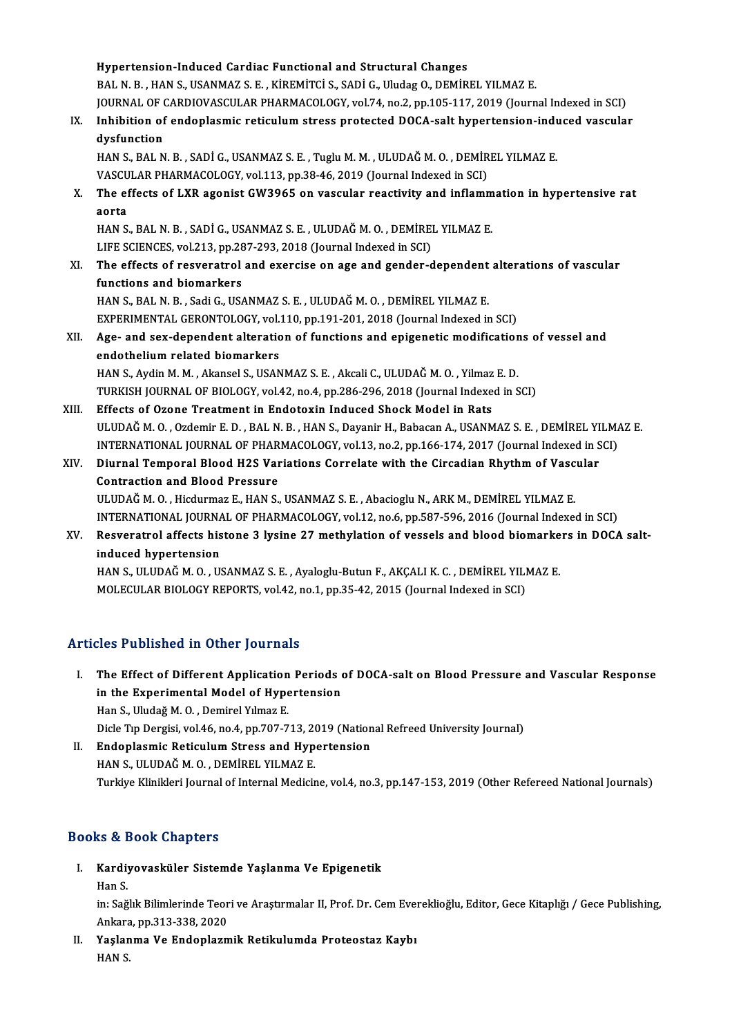|       | Hypertension-Induced Cardiac Functional and Structural Changes                                           |
|-------|----------------------------------------------------------------------------------------------------------|
|       | BAL N. B., HAN S., USANMAZ S. E., KİREMİTCİ S., SADİ G., Uludag O., DEMİREL YILMAZ E.                    |
|       | JOURNAL OF CARDIOVASCULAR PHARMACOLOGY, vol.74, no.2, pp.105-117, 2019 (Journal Indexed in SCI)          |
| IX.   | Inhibition of endoplasmic reticulum stress protected DOCA-salt hypertension-induced vascular             |
|       | dysfunction                                                                                              |
|       | HAN S., BAL N. B., SADİ G., USANMAZ S. E., Tuglu M. M., ULUDAĞ M. O., DEMİREL YILMAZ E.                  |
|       | VASCULAR PHARMACOLOGY, vol.113, pp.38-46, 2019 (Journal Indexed in SCI)                                  |
| Х.    | The effects of LXR agonist GW3965 on vascular reactivity and inflammation in hypertensive rat            |
|       | aorta                                                                                                    |
|       | HAN S., BAL N. B., SADİ G., USANMAZ S. E., ULUDAĞ M. O., DEMİREL YILMAZ E.                               |
|       | LIFE SCIENCES, vol.213, pp.287-293, 2018 (Journal Indexed in SCI)                                        |
| XI.   | The effects of resveratrol and exercise on age and gender-dependent alterations of vascular              |
|       | functions and biomarkers                                                                                 |
|       | HAN S., BAL N. B., Sadi G., USANMAZ S. E., ULUDAĞ M. O., DEMİREL YILMAZ E.                               |
|       | EXPERIMENTAL GERONTOLOGY, vol.110, pp.191-201, 2018 (Journal Indexed in SCI)                             |
| XII.  | Age- and sex-dependent alteration of functions and epigenetic modifications of vessel and                |
|       | endothelium related biomarkers                                                                           |
|       | HAN S., Aydin M. M., Akansel S., USANMAZ S. E., Akcali C., ULUDAĞ M. O., Yilmaz E. D.                    |
|       | TURKISH JOURNAL OF BIOLOGY, vol.42, no.4, pp.286-296, 2018 (Journal Indexed in SCI)                      |
| XIII. | Effects of Ozone Treatment in Endotoxin Induced Shock Model in Rats                                      |
|       | ULUDAĞ M. O., Ozdemir E. D., BAL N. B., HAN S., Dayanir H., Babacan A., USANMAZ S. E., DEMİREL YILMAZ E. |
|       | INTERNATIONAL JOURNAL OF PHARMACOLOGY, vol.13, no.2, pp.166-174, 2017 (Journal Indexed in SCI)           |
| XIV.  | Diurnal Temporal Blood H2S Variations Correlate with the Circadian Rhythm of Vascular                    |
|       | <b>Contraction and Blood Pressure</b>                                                                    |
|       | ULUDAĞ M. O., Hicdurmaz E., HAN S., USANMAZ S. E., Abacioglu N., ARK M., DEMİREL YILMAZ E.               |
|       | INTERNATIONAL JOURNAL OF PHARMACOLOGY, vol.12, no.6, pp.587-596, 2016 (Journal Indexed in SCI)           |
| XV.   | Resveratrol affects histone 3 lysine 27 methylation of vessels and blood biomarkers in DOCA salt-        |
|       | induced hypertension                                                                                     |
|       | HAN S., ULUDAĞ M. O., USANMAZ S. E., Ayaloglu-Butun F., AKÇALI K. C., DEMİREL YILMAZ E.                  |
|       | MOLECULAR RIOLOGY REPORTS, unl 42, no. 1, nn 25, 42, 2015 (Journal Indoved in SCI)                       |

# HAN S., ULUDAG M. O. , USANMAZ S. E. , Ayaloglu-Butun F., AKÇALI K. C. , DEMIKEL YIL.<br>MOLECULAR BIOLOGY REPORTS, vol.42, no.1, pp.35-42, 2015 (Journal Indexed in SCI)

# Articles Published in Other Journals

- I. The Effect of Different Application Periods of DOCA-salt on Blood Pressure and Vascular Response The Effect of Different Application Periods<br>in the Experimental Model of Hypertension<br>Han S. Uludağ M.O., Domirol Vilmaz E The Effect of Different Application<br>in the Experimental Model of Hype<br>Han S., Uludağ M. O. , Demirel Yılmaz E.<br>Disk Tın Dergisi vel 46 ne 4 nn 707 7 Han S., Uludağ M. O. , Demirel Yılmaz E.<br>Dicle Tıp Dergisi, vol.46, no.4, pp.707-713, 2019 (National Refreed University Journal) Han S., Uludağ M. O. , Demirel Yılmaz E.<br>Dicle Tıp Dergisi, vol.46, no.4, pp.707-713, 2019 (Nation<br>II. Endoplasmic Reticulum Stress and Hypertension<br>HAN S. III IIDAČ M.O., DEMIREL VILMAZ E.
- Dicle Tıp Dergisi, vol.46, no.4, pp.707-713, 20<br>**Endoplasmic Reticulum Stress and Hyp**<br>HAN S., ULUDAĞ M. O. , DEMİREL YILMAZ E.<br>Turkiye Klinikleri Journal of Internal Medici: HAN S., ULUDAĞ M. O. , DEMİREL YILMAZ E.<br>Turkiye Klinikleri Journal of Internal Medicine, vol.4, no.3, pp.147-153, 2019 (Other Refereed National Journals)

# Books&Book Chapters

ooks & Book Chapters<br>I. Kardiyovasküler Sistemde Yaşlanma Ve Epigenetik<br>Han S ks & f<br>Kardi<sub>!</sub><br>Han S.

Han S.<br>in: Sağlık Bilimlerinde Teori ve Araştırmalar II, Prof. Dr. Cem Evereklioğlu, Editor, Gece Kitaplığı / Gece Publishing, Han S.<br>in: Sağlık Bilimlerinde Teor<br>Ankara, pp.313-338, 2020<br>Yoslanma Ve Endenlagu

II. Yaşlanma Ve Endoplazmik Retikulumda Proteostaz Kaybı<br>HAN S. Ankara<br><mark>Yaşlan</mark><br>HAN S.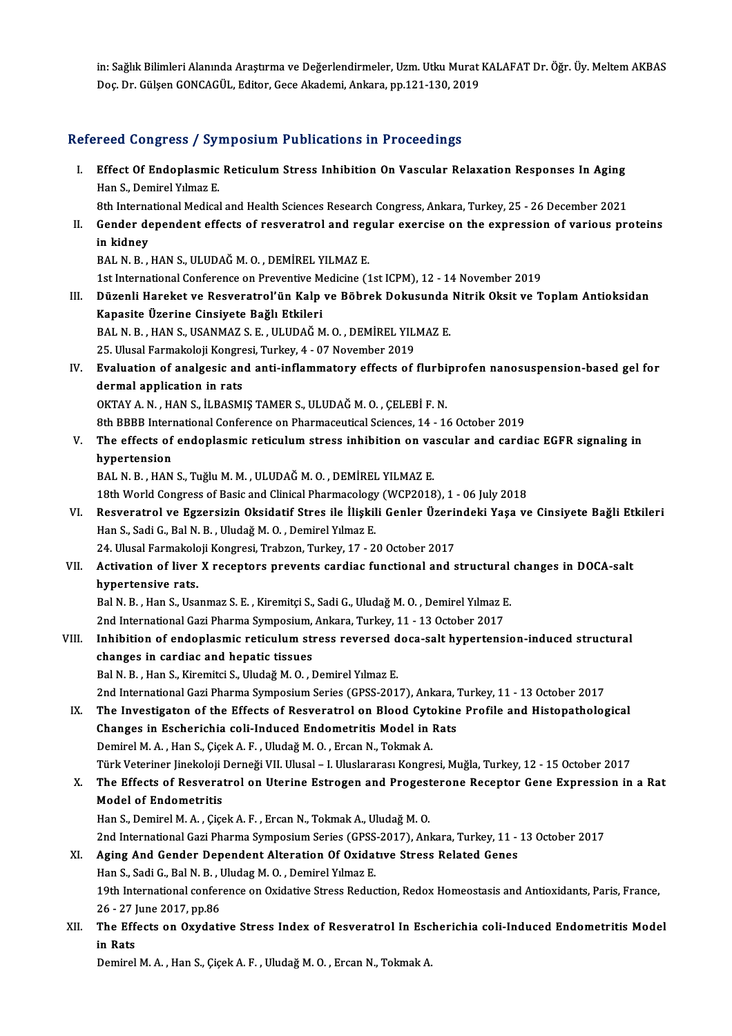in: Sağlık Bilimleri Alanında Araştırma ve Değerlendirmeler, Uzm. Utku Murat KALAFAT Dr. Öğr. Üy. Meltem AKBAS Doç. Dr. Gülşen GONCAGÜL, Editor, Gece Akademi, Ankara, pp.121-130, 2019

# Refereed Congress / Symposium Publications in Proceedings

efereed Congress / Symposium Publications in Proceedings<br>I. Effect Of Endoplasmic Reticulum Stress Inhibition On Vascular Relaxation Responses In Aging<br>Han S. Damirel Vilmar E Effect Of Endoplasmic<br>Han S., Demirel Yılmaz E.<br><sup>9th</sup> International Medical Effect Of Endoplasmic Reticulum Stress Inhibition On Vascular Relaxation Responses In Aging<br>Han S., Demirel Yılmaz E.<br>8th International Medical and Health Sciences Research Congress, Ankara, Turkey, 25 - 26 December 2021<br>C Han S., Demirel Yılmaz E.<br>8th International Medical and Health Sciences Research Congress, Ankara, Turkey, 25 - 26 December 2021<br>II. Gender dependent effects of resveratrol and regular exercise on the expression of various 8th International Medical and Health Sciences Research Congress, Ankara, Turkey, 25 - 26 December 2021 BALN.B. ,HANS.,ULUDAĞM.O. ,DEMİREL YILMAZ E. in kidney<br>BAL N. B. , HAN S., ULUDAĞ M. O. , DEMİREL YILMAZ E.<br>1st International Conference on Preventive Medicine (1st ICPM), 12 - 14 November 2019<br>Dürenli Hareket ve Besyerstrel'ün Kelp ve Böhrek Dekveunde Nitrik Oksit v III. Düzenli Hareket ve Resveratrol'ün Kalp ve Böbrek Dokusunda Nitrik Oksit ve Toplam Antioksidan<br>Kapasite Üzerine Cinsiyete Bağlı Etkileri 1st International Conference on Preventive M<br>Düzenli Hareket ve Resveratrol'ün Kalp<br>Kapasite Üzerine Cinsiyete Bağlı Etkileri<br>PALN B. HANS USANMAZS E. ULUDAČ M BAL N.B., HAN S., USANMAZ S.E., ULUDAĞM.O., DEMİREL YILMAZ E. Kapasite Üzerine Cinsiyete Bağlı Etkileri<br>BAL N. B. , HAN S., USANMAZ S. E. , ULUDAĞ M. O. , DEMİREL YILI<br>25. Ulusal Farmakoloji Kongresi, Turkey, 4 - 07 November 2019<br>Evaluation of analzesis and anti inflammatary effects BAL N. B. , HAN S., USANMAZ S. E. , ULUDAĞ M. O. , DEMİREL YILMAZ E.<br>25. Ulusal Farmakoloji Kongresi, Turkey, 4 - 07 November 2019<br>IV. Evaluation of analgesic and anti-inflammatory effects of flurbiprofen nanosuspensio 25. Ulusal Farmakoloji Kongre<br><mark>Evaluation of analgesic an</mark><br>dermal application in rats<br>O<sup>lytav A. N. HANS il PASM</sup> Evaluation of analgesic and anti-inflammatory effects of flurbi<br>dermal application in rats<br>OKTAY A. N. , HAN S., İLBASMIŞ TAMER S., ULUDAĞ M. O. , ÇELEBİ F. N.<br>9th PPPP International Conference en Pharmaceutical Sciences 1 dermal application in rats<br>OKTAY A. N. , HAN S., İLBASMIŞ TAMER S., ULUDAĞ M. O. , ÇELEBİ F. N.<br>8th BBBB International Conference on Pharmaceutical Sciences, 14 - 16 October 2019 OKTAY A. N. , HAN S., İLBASMIŞ TAMER S., ULUDAĞ M. O. , ÇELEBİ F. N.<br>8th BBBB International Conference on Pharmaceutical Sciences, 14 - 16 October 2019<br>V. The effects of endoplasmic reticulum stress inhibition on vascu 8th BBBB Internet<br>The effects of<br>hypertension<br>PAL N P HAN The effects of endoplasmic reticulum stress inhibition on va<br>hypertension<br>BAL N. B. , HAN S., Tuğlu M. M. , ULUDAĞ M. O. , DEMİREL YILMAZ E.<br>19th World Congress of Pasis and Clinical Pharmaselogy (WCP2019 hypertension<br>18th N. B. , HAN S., Tuğlu M. M. , ULUDAĞ M. O. , DEMİREL YILMAZ E.<br>18th World Congress of Basic and Clinical Pharmacology (WCP2018), 1 - 06 July 2018 BAL N. B. , HAN S., Tuğlu M. M. , ULUDAĞ M. O. , DEMİREL YILMAZ E.<br>18th World Congress of Basic and Clinical Pharmacology (WCP2018), 1 - 06 July 2018<br>VI. Resveratrol ve Egzersizin Oksidatif Stres ile İlişkili Genler Üzerin 18th World Congress of Basic and Clinical Pharmacology<br>Resveratrol ve Egzersizin Oksidatif Stres ile İlişkil<br>Han S., Sadi G., Bal N. B. , Uludağ M. O. , Demirel Yılmaz E.<br>24 Hlugal Farmakalaji Kongresi Trabson Turkey 17, 2 Resveratrol ve Egzersizin Oksidatif Stres ile İlişkili Genler Üzerin<br>Han S., Sadi G., Bal N. B. , Uludağ M. O. , Demirel Yılmaz E.<br>24. Ulusal Farmakoloji Kongresi, Trabzon, Turkey, 17 - 20 October 2017<br>Activation of liver Han S., Sadi G., Bal N. B. , Uludağ M. O. , Demirel Yılmaz E.<br>24. Ulusal Farmakoloji Kongresi, Trabzon, Turkey, 17 - 20 October 2017<br>VII. Activation of liver X receptors prevents cardiac functional and structural chang 24. Ulusal Farmakol<mark>.</mark><br>Activation of liver<br>hypertensive rats.<br><sup>Bol N. B. Hon S. Hoo</sup> Activation of liver X receptors prevents cardiac functional and structural<br>hypertensive rats.<br>Bal N. B., Han S., Usanmaz S. E., Kiremitçi S., Sadi G., Uludağ M. O. , Demirel Yılmaz E.<br>2nd International Cari Pharma Sumnagiu hypertensive rats.<br>2012 N.B., Han S., Usanmaz S. E. , Kiremitçi S., Sadi G., Uludağ M. O. , Demirel Yılmaz E. VIII. Inhibition of endoplasmic reticulum stress reversed doca-salt hypertension-induced structural<br>changes in cardiac and hepatic tissues 2nd International Gazi Pharma Symposium, Ankara, Turkey, 11 - 13 October 2017 Bal N.B., Han S., Kiremitci S., Uludağ M.O., Demirel Yılmaz E. changes in cardiac and hepatic tissues<br>Bal N. B. , Han S., Kiremitci S., Uludağ M. O. , Demirel Yılmaz E.<br>2nd International Gazi Pharma Symposium Series (GPSS-2017), Ankara, Turkey, 11 - 13 October 2017<br>The Investigaton of IX. The Investigaton of the Effects of Resveratrol on Blood Cytokine Profile and Histopathological 2nd International Gazi Pharma Symposium Series (GPSS-2017), Ankara,<br>The Investigaton of the Effects of Resveratrol on Blood Cytokine<br>Changes in Escherichia coli-Induced Endometritis Model in Rats<br>Domirol M.A., Han S. Giock Demirel M.A., Han S., Çiçek A.F., Uludağ M.O., Ercan N., Tokmak A. Türk Veteriner Jinekoloji Derneği VII. Ulusal - I. Uluslararası Kongresi, Muğla, Turkey, 12 - 15 October 2017 Demirel M. A. , Han S., Çiçek A. F. , Uludağ M. O. , Ercan N., Tokmak A.<br>Türk Veteriner Jinekoloji Derneği VII. Ulusal – I. Uluslararası Kongresi, Muğla, Turkey, 12 - 15 October 2017<br>X. The Effects of Resveratrol on Ut Türk Veteriner Jinekoloji I<br>The Effects of Resverat<br>Model of Endometritis<br>Han S. Demirel M.A. *Cis*c The Effects of Resveratrol on Uterine Estrogen and Progest<br>Model of Endometritis<br>Han S., Demirel M. A. , Çiçek A. F. , Ercan N., Tokmak A., Uludağ M. O.<br>2nd International Cari Pharma Symnasium Series (CBSS 2017), Anl Model of Endometritis<br>Han S., Demirel M. A. , Çiçek A. F. , Ercan N., Tokmak A., Uludağ M. O.<br>2nd International Gazi Pharma Symposium Series (GPSS-2017), Ankara, Turkey, 11 - 13 October 2017<br>Aging And Gondon Denendent Alte Han S., Demirel M. A. , Çiçek A. F. , Ercan N., Tokmak A., Uludağ M. O.<br>2nd International Gazi Pharma Symposium Series (GPSS-2017), Ankara, Turkey, 11 -<br>XI. Aging And Gender Dependent Alteration Of Oxidatıve Stress Related 2nd International Gazi Pharma Symposium Series (GPSS)<br>Aging And Gender Dependent Alteration Of Oxidat<br>Han S., Sadi G., Bal N. B. , Uludag M. O. , Demirel Yılmaz E.<br>19th International senferanse en Oxidative Strees Bedua Aging And Gender Dependent Alteration Of Oxidative Stress Related Genes<br>Han S., Sadi G., Bal N. B. , Uludag M. O. , Demirel Yılmaz E.<br>19th International conference on Oxidative Stress Reduction, Redox Homeostasis and Antio Han S., Sadi G., Bal N. B. , I<br>19th International confer<br>26 - 27 June 2017, pp.86<br>The Effects on Ourdati 19th International conference on Oxidative Stress Reduction, Redox Homeostasis and Antioxidants, Paris, France,<br>26 - 27 June 2017, pp.86<br>XII. The Effects on Oxydative Stress Index of Resveratrol In Escherichia coli-Induced 26 - 27 June 2017, pp.86<br>The Effects on Oxydative Stress Index of Resveratrol In Escl<br>in Rats<br>Demirel M. A. , Han S., Çiçek A. F. , Uludağ M. O. , Ercan N., Tokmak A. The Effects on Oxydative Stress Index of Resveratrol In Esc<br>in Rats<br>Demirel M. A. , Han S., Çiçek A. F. , Uludağ M. O. , Ercan N., Tokmak A.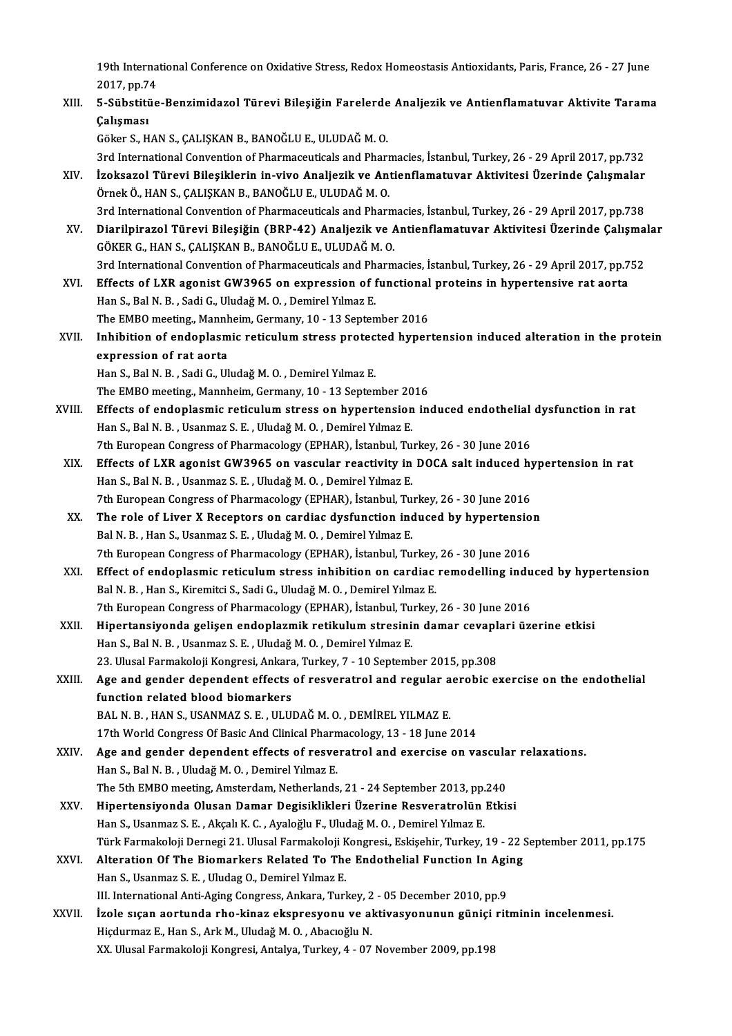19th International Conference on Oxidative Stress, Redox Homeostasis Antioxidants, Paris, France, 26 - 27 June<br>2017, np.74 19th Interna<br>2017, pp.74<br>E. Sübetitüs 19th International Conference on Oxidative Stress, Redox Homeostasis Antioxidants, Paris, France, 26 - 27 June<br>2017, pp.74<br>XIII. 5-Sübstitüe-Benzimidazol Türevi Bileşiğin Farelerde Analjezik ve Antienflamatuvar Aktivite Ta

2017, pp.74<br>XIII. 5-Sübstitüe-Benzimidazol Türevi Bileşiğin Farelerde Analjezik ve Antienflamatuvar Aktivite Tarama<br>Calısması

Göker S.,HANS.,ÇALIŞKANB.,BANOĞLUE.,ULUDAĞM.O.

3rd International Convention of Pharmaceuticals and Pharmacies, İstanbul, Turkey, 26 - 29 April 2017, pp.732

- Göker S., HAN S., ÇALIŞKAN B., BANOĞLU E., ULUDAĞ M. O.<br>3rd International Convention of Pharmaceuticals and Pharmacies, İstanbul, Turkey, 26 29 April 2017, pp.732<br>XIV. İzoksazol Türevi Bileşiklerin in-vivo Analjezik 3rd International Convention of Pharmaceuticals and Pharmic<br>İzoksazol Türevi Bileşiklerin in-vivo Analjezik ve Ana<br>Örnek Ö., HAN S., ÇALIŞKAN B., BANOĞLU E., ULUDAĞ M. O.<br><sup>2rd</sup> International Convention of Pharmaceuticals a İzoksazol Türevi Bileşiklerin in-vivo Analjezik ve Antienflamatuvar Aktivitesi Üzerinde Çalışmalar<br>Örnek Ö., HAN S., ÇALIŞKAN B., BANOĞLU E., ULUDAĞ M. O.<br>3rd International Convention of Pharmaceuticals and Pharmacies, İst Örnek Ö., HAN S., ÇALIŞKAN B., BANOĞLU E., ULUDAĞ M. O.<br>3rd International Convention of Pharmaceuticals and Pharmacies, İstanbul, Turkey, 26 - 29 April 2017, pp.738<br>XV. Diarilpirazol Türevi Bileşiğin (BRP-42) Analjezik
- 3rd International Convention of Pharmaceuticals and Pharm<br>Diarilpirazol Türevi Bileşiğin (BRP-42) Analjezik ve *f*<br>GÖKER G., HAN S., ÇALIŞKAN B., BANOĞLU E., ULUDAĞ M. O.<br><sup>2rd International Convention of Pharmaceuticals an</sup> Diarilpirazol Türevi Bileşiğin (BRP-42) Analjezik ve Antienflamatuvar Aktivitesi Üzerinde Çalışma<br>GÖKER G., HAN S., ÇALIŞKAN B., BANOĞLU E., ULUDAĞ M. O.<br>3rd International Convention of Pharmaceuticals and Pharmacies, İsta
- GÖKER G., HAN S., ÇALIŞKAN B., BANOĞLU E., ULUDAĞ M. O.<br>3rd International Convention of Pharmaceuticals and Pharmacies, İstanbul, Turkey, 26 29 April 2017, pp.7<br>XVI. Effects of LXR agonist GW3965 on expression of functio 3rd International Convention of Pharmaceuticals and Pharmacies, İstanbul, Turkey, 26 - 29 April 2017, pp.752<br>Effects of LXR agonist GW3965 on expression of functional proteins in hypertensive rat aorta<br>Han S., Bal N. B. , Effects of LXR agonist GW3965 on expression of functional<br>Han S., Bal N. B. , Sadi G., Uludağ M. O. , Demirel Yılmaz E.<br>The EMBO meeting., Mannheim, Germany, 10 - 13 September 2016<br>Inhibition of ondonlasmis natisulum stres Han S., Bal N. B. , Sadi G., Uludağ M. O. , Demirel Yılmaz E.<br>The EMBO meeting., Mannheim, Germany, 10 - 13 September 2016<br>XVII. Inhibition of endoplasmic reticulum stress protected hypertension induced alteration in the p
- The EMBO meeting., Mannheim, Germany, 10 13 September 2016<br>Inhibition of endoplasmic reticulum stress protected hyper<br>expression of rat aorta<br>Han S., Bal N. B., Sadi G., Uludağ M. O., Demirel Yılmaz E. Inhibition of endoplasmic reticulum stress protec<br>expression of rat aorta<br>Han S., Bal N. B. , Sadi G., Uludağ M. O. , Demirel Yılmaz E.<br>The EMBO meeting, Mannheim Cermany 10, 13 Septen

The EMBO meeting., Mannheim, Germany, 10 - 13 September 2016

- Han S., Bal N. B. , Sadi G., Uludağ M. O. , Demirel Yılmaz E.<br>The EMBO meeting., Mannheim, Germany, 10 13 September 2016<br>XVIII. Effects of endoplasmic reticulum stress on hypertension induced endothelial dysfunction in r The EMBO meeting., Mannheim, Germany, 10 - 13 September 20<br>Effects of endoplasmic reticulum stress on hypertension<br>Han S., Bal N. B. , Usanmaz S. E. , Uludağ M. O. , Demirel Yılmaz E.<br>7th Euronean Congress of Pharmacology Effects of endoplasmic reticulum stress on hypertension induced endothelial<br>Han S., Bal N. B. , Usanmaz S. E. , Uludağ M. O. , Demirel Yılmaz E.<br>7th European Congress of Pharmacology (EPHAR), İstanbul, Turkey, 26 - 30 June
- Han S., Bal N. B. , Usanmaz S. E. , Uludağ M. O. , Demirel Yılmaz E.<br>7th European Congress of Pharmacology (EPHAR), İstanbul, Turkey, 26 30 June 2016<br>XIX. Effects of LXR agonist GW3965 on vascular reactivity in DOCA 7th European Congress of Pharmacology (EPHAR), İstanbul, Tu:<br>Effects of LXR agonist GW3965 on vascular reactivity in<br>Han S., Bal N. B. , Usanmaz S. E. , Uludağ M. O. , Demirel Yılmaz E.<br>7th European Congress of Pharmacolog Effects of LXR agonist GW3965 on vascular reactivity in DOCA salt induced hy<br>Han S., Bal N. B., Usanmaz S. E., Uludağ M. O., Demirel Yılmaz E.<br>7th European Congress of Pharmacology (EPHAR), İstanbul, Turkey, 26 - 30 June 2 Han S., Bal N. B., Usanmaz S. E., Uludağ M. O., Demirel Yılmaz E.<br>7th European Congress of Pharmacology (EPHAR), İstanbul, Turkey, 26 - 30 June 2016<br>XX. The role of Liver X Receptors on cardiac dysfunction induced by hyper
- 7th European Congress of Pharmacology (EPHAR), İstanbul, Turkey, 26 30 June 2016<br>The role of Liver X Receptors on cardiac dysfunction induced by hypertensio<br>Bal N. B., Han S., Usanmaz S. E., Uludağ M. O., Demirel Yılmaz The role of Liver X Receptors on cardiac dysfunction induced by hypertensio<br>Bal N. B., Han S., Usanmaz S. E., Uludağ M. O., Demirel Yılmaz E.<br>7th European Congress of Pharmacology (EPHAR), İstanbul, Turkey, 26 - 30 June 20 Bal N. B., Han S., Usanmaz S. E., Uludağ M. O., Demirel Yılmaz E.<br>7th European Congress of Pharmacology (EPHAR), İstanbul, Turkey, 26 - 30 June 2016<br>XXI. Effect of endoplasmic reticulum stress inhibition on cardiac remodel
- 7th European Congress of Pharmacology (EPHAR), İstanbul, Turkey,<br>Effect of endoplasmic reticulum stress inhibition on cardiac<br>Bal N. B., Han S., Kiremitci S., Sadi G., Uludağ M. O., Demirel Yılmaz E.<br>7th European Congress Effect of endoplasmic reticulum stress inhibition on cardiac remodelling indu<br>Bal N. B. , Han S., Kiremitci S., Sadi G., Uludağ M. O. , Demirel Yılmaz E.<br>7th European Congress of Pharmacology (EPHAR), İstanbul, Turkey, 26 Bal N. B. , Han S., Kiremitci S., Sadi G., Uludağ M. O. , Demirel Yılmaz E.<br>7th European Congress of Pharmacology (EPHAR), İstanbul, Turkey, 26 - 30 June 2016<br>XXII. Hipertansiyonda gelişen endoplazmik retikulum stresin
- 7th European Congress of Pharmacology (EPHAR), İstanbul, Turkey, 26 30 June 2016<br>Hipertansiyonda gelişen endoplazmik retikulum stresinin damar cevaplari üz<br>Han S., Bal N. B. , Usanmaz S. E. , Uludağ M. O. , Demirel Yılma Hipertansiyonda gelişen endoplazmik retikulum stresinin damar cevapl<br>Han S., Bal N. B. , Usanmaz S. E. , Uludağ M. O. , Demirel Yılmaz E.<br>23. Ulusal Farmakoloji Kongresi, Ankara, Turkey, 7 - 10 September 2015, pp.308<br>Age a Han S., Bal N. B. , Usanmaz S. E. , Uludağ M. O. , Demirel Yılmaz E.<br>23. Ulusal Farmakoloji Kongresi, Ankara, Turkey, 7 - 10 September 2015, pp.308<br>XXIII. Age and gender dependent effects of resveratrol and regular aerobic
- 23. Ulusal Farmakoloji Kongresi, Ankara<br>Age and gender dependent effects<br>function related blood biomarkers<br>BAL N B HANS JISANMAZS E HUJI Age and gender dependent effects of resveratrol and regular a<br>function related blood biomarkers<br>BAL N. B. , HAN S., USANMAZ S. E. , ULUDAĞ M. O. , DEMİREL YILMAZ E.<br>17th World Congress Of Pasis And Clinical Pharmasology 13 function related blood biomarkers<br>BAL N. B. , HAN S., USANMAZ S. E. , ULUDAĞ M. O. , DEMİREL YILMAZ E.<br>17th World Congress Of Basic And Clinical Pharmacology, 13 - 18 June 2014<br>Age and gender dependent effects of resuspatr
- 
- BAL N. B. , HAN S., USANMAZ S. E. , ULUDAĞ M. O. , DEMİREL YILMAZ E.<br>17th World Congress Of Basic And Clinical Pharmacology, 13 18 June 2014<br>XXIV. Age and gender dependent effects of resveratrol and exercise on vascular 17th World Congress Of Basic And Clinical Pharn<br>Age and gender dependent effects of resve<br>Han S., Bal N. B., Uludağ M. O., Demirel Yılmaz E.<br>The 5th EMPO meeting Amsterdam Natherlands Age and gender dependent effects of resveratrol and exercise on vascula<br>Han S., Bal N. B. , Uludağ M. O. , Demirel Yılmaz E.<br>The 5th EMBO meeting, Amsterdam, Netherlands, 21 - 24 September 2013, pp.240<br>Hinertensiyanda Olys
- XXV. Hipertensiyonda Olusan Damar Degisiklikleri Üzerine Resveratrolün Etkisi<br>Han S., Usanmaz S. E., Akçalı K. C., Ayaloğlu F., Uludağ M. O., Demirel Yılmaz E. The 5th EMBO meeting, Amsterdam, Netherlands, 21 - 24 September 2013, pp.<br>Hipertensiyonda Olusan Damar Degisiklikleri Üzerine Resveratrolün<br>Han S., Usanmaz S. E. , Akçalı K. C. , Ayaloğlu F., Uludağ M. O. , Demirel Yılmaz Hipertensiyonda Olusan Damar Degisiklikleri Üzerine Resveratrolün Etkisi<br>Han S., Usanmaz S. E. , Akçalı K. C. , Ayaloğlu F., Uludağ M. O. , Demirel Yılmaz E.<br>Türk Farmakoloji Dernegi 21. Ulusal Farmakoloji Kongresi., Eskiş Han S., Usanmaz S. E. , Akçalı K. C. , Ayaloğlu F., Uludağ M. O. , Demirel Yılmaz E.<br>Türk Farmakoloji Dernegi 21. Ulusal Farmakoloji Kongresi., Eskişehir, Turkey, 19 - 22 !<br>XXVI. Alteration Of The Biomarkers Related To The
- Türk Farmakoloji Dernegi 21. Ulusal Farmakoloji K<br>Alteration Of The Biomarkers Related To The<br>Han S., Usanmaz S. E. , Uludag O., Demirel Yılmaz E.<br>W. International Arti Aging Congress, Ankana Turk Alteration Of The Biomarkers Related To The Endothelial Function In Aging<br>Han S., Usanmaz S. E. , Uludag O., Demirel Yılmaz E.<br>III. International Anti-Aging Congress, Ankara, Turkey, 2 - 05 December 2010, pp.9 Han S., Usanmaz S. E. , Uludag O., Demirel Yılmaz E.<br>III. International Anti-Aging Congress, Ankara, Turkey, 2 - 05 December 2010, pp.9<br>XXVII. İzole sıçan aortunda rho-kinaz ekspresyonu ve aktivasyonunun güniçi ritmini
- III. International Anti-Aging Congress, Ankara, Turkey, 2<br>**İzole sıçan aortunda rho-kinaz ekspresyonu ve a**l<br>Hiçdurmaz E., Han S., Ark M., Uludağ M. O. , Abacıoğlu N.<br>YY Hlucel Fermekaleji Kongresi, Antalya Turkey, 4., 97 Hiçdurmaz E., Han S., Ark M., Uludağ M. O. , Abacıoğlu N.<br>XX. Ulusal Farmakoloji Kongresi, Antalya, Turkey, 4 - 07 November 2009, pp.198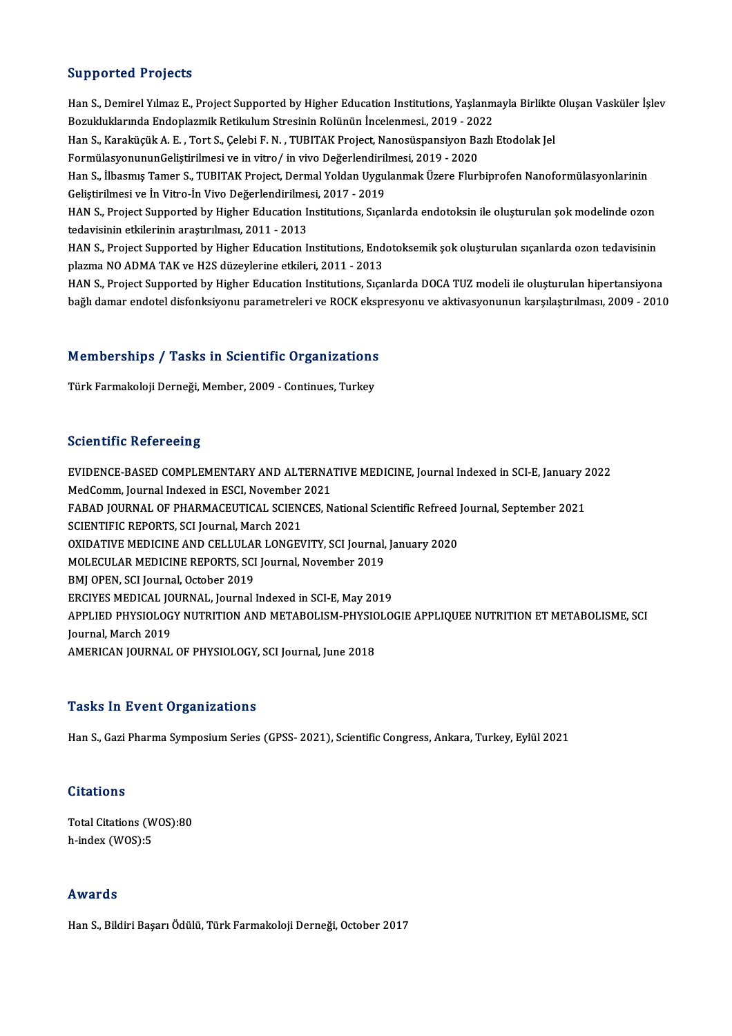# Supported Projects

Supported Projects<br>Han S., Demirel Yılmaz E., Project Supported by Higher Education Institutions, Yaşlanmayla Birlikte Oluşan Vasküler İşlev<br>Remikluklarında Endenlarmik Betilulum Stresinin Relünün İnselenmesi, 2019, 2022 Bupporteur i rejecte<br>Han S., Demirel Yılmaz E., Project Supported by Higher Education Institutions, Yaşlanm<br>Bozukluklarında Endoplazmik Retikulum Stresinin Rolünün İncelenmesi., 2019 - 2022<br>Han S. Karakügük A. E., Tort S. Han S., Demirel Yılmaz E., Project Supported by Higher Education Institutions, Yaşlanmayla Birlikte<br>Bozukluklarında Endoplazmik Retikulum Stresinin Rolünün İncelenmesi., 2019 - 2022<br>Han S., Karaküçük A. E. , Tort S., Çeleb Bozukluklarında Endoplazmik Retikulum Stresinin Rolünün İncelenmesi., 2019 - 20:<br>Han S., Karaküçük A. E. , Tort S., Çelebi F. N. , TUBITAK Project, Nanosüspansiyon Ba<br>FormülasyonununGeliştirilmesi ve in vitro/ in vivo Değe FormülasyonununGeliştirilmesi ve in vitro/ in vivo Değerlendirilmesi, 2019 - 2020<br>Han S., İlbasmış Tamer S., TUBITAK Project, Dermal Yoldan Uygulanmak Üzere Flurbiprofen Nanoformülasyonlarinin FormülasyonununGeliştirilmesi ve in vitro/ in vivo Değerlendiril<br>Han S., İlbasmış Tamer S., TUBITAK Project, Dermal Yoldan Uygu<br>Geliştirilmesi ve İn Vitro-İn Vivo Değerlendirilmesi, 2017 - 2019<br>HAN S. Project Sunnorted by HAN S., Project Supported by Higher Education Institutions, Sıçanlarda endotoksin ile oluşturulan şok modelinde ozon<br>tedavisinin etkilerinin araştırılması, 2011 - 2013 Geliştirilmesi ve İn Vitro-İn Vivo Değerlendirilme<br>HAN S., Project Supported by Higher Education In<br>tedavisinin etkilerinin araştırılması, 2011 - 2013<br>HAN S. Project Supported by Higher Education I. HAN S., Project Supported by Higher Education Institutions, Sıçanlarda endotoksin ile oluşturulan şok modelinde ozon<br>tedavisinin etkilerinin araştırılması, 2011 - 2013<br>HAN S., Project Supported by Higher Education Institut tedavisinin etkilerinin araştırılması, 2011 - 2013<br>HAN S., Project Supported by Higher Education Institutions, End<br>plazma NO ADMA TAK ve H2S düzeylerine etkileri, 2011 - 2013<br>HAN S. Project Supported by Higher Education In HAN S., Project Supported by Higher Education Institutions, Endotoksemik şok oluşturulan sıçanlarda ozon tedavisinin<br>plazma NO ADMA TAK ve H2S düzeylerine etkileri, 2011 - 2013<br>HAN S., Project Supported by Higher Education

plazma NO ADMA TAK ve H2S düzeylerine etkileri, 2011 - 2013<br>HAN S., Project Supported by Higher Education Institutions, Sıçanlarda DOCA TUZ modeli ile oluşturulan hipertansiyona<br>bağlı damar endotel disfonksiyonu parametrel

# nagh damar endotel disionksiyonu parametreleri ve ROCR eksp $\blacksquare$ Memberships / Tasks in Scientific Organizations **Memberships / Tasks in Scientific Organizations<br>Türk Farmakoloji Derneği, Member, 2009 - Continues, Turkey**

Türk Farmakoloji Derneği, Member, 2009 - Continues, Turkey<br>Scientific Refereeing

Scientific Refereeing<br>EVIDENCE-BASED COMPLEMENTARY AND ALTERNATIVE MEDICINE, Journal Indexed in SCI-E, January 2022<br>MedComm, Journal Indoved in ESCI, November 2021 BENDENCE-BASED COMPLEMENTARY AND ALTERNAT<br>MedComm, Journal Indexed in ESCI, November 2021<br>FARAD JOURNAL OF PHARMACEUTICAL SCIENCES N EVIDENCE-BASED COMPLEMENTARY AND ALTERNATIVE MEDICINE, Journal Indexed in SCI-E, January 2<br>MedComm, Journal Indexed in ESCI, November 2021<br>FABAD JOURNAL OF PHARMACEUTICAL SCIENCES, National Scientific Refreed Journal, Sept MedComm, Journal Indexed in ESCI, November 2021<br>FABAD JOURNAL OF PHARMACEUTICAL SCIENCES, National Scientific Refreed Journal, September 2021<br>SCIENTIFIC REPORTS, SCI Journal, March 2021 FABAD JOURNAL OF PHARMACEUTICAL SCIENCES, National Scientific Refreed<br>SCIENTIFIC REPORTS, SCI Journal, March 2021<br>OXIDATIVE MEDICINE AND CELLULAR LONGEVITY, SCI Journal, January 2020<br>MOI ECULAR MEDICINE REPORTS, SCI Journa SCIENTIFIC REPORTS, SCI Journal, March 2021<br>OXIDATIVE MEDICINE AND CELLULAR LONGEVITY, SCI Journal,<br>MOLECULAR MEDICINE REPORTS, SCI Journal, November 2019<br>PMI OPEN, SCI Journal October 2019 OXIDATIVE MEDICINE AND CELLULAI<br>MOLECULAR MEDICINE REPORTS, SCI<br>BMJ OPEN, SCI Journal, October 2019<br>EPCIVES MEDICAL JOURNAL Journal MOLECULAR MEDICINE REPORTS, SCI Journal, November 2019<br>BMJ OPEN, SCI Journal, October 2019<br>ERCIYES MEDICAL JOURNAL, Journal Indexed in SCI-E, May 2019 BMJ OPEN, SCI Journal, October 2019<br>ERCIYES MEDICAL JOURNAL, Journal Indexed in SCI-E, May 2019<br>APPLIED PHYSIOLOGY NUTRITION AND METABOLISM-PHYSIOLOGIE APPLIQUEE NUTRITION ET METABOLISME, SCI<br>Journal March 2019 ERCIYES MEDICAL JO<br>APPLIED PHYSIOLOG<br>Journal, March 2019<br>AMERICAN JOURNAL APPLIED PHYSIOLOGY NUTRITION AND METABOLISM-PHYSIC<br>Journal, March 2019<br>AMERICAN JOURNAL OF PHYSIOLOGY, SCI Journal, June 2018 AMERICAN JOURNAL OF PHYSIOLOGY, SCI Journal, June 2018<br>Tasks In Event Organizations

Han S., Gazi Pharma Symposium Series (GPSS-2021), Scientific Congress, Ankara, Turkey, Eylül 2021

# **Citations**

Total Citations (WOS):80 h-index (WOS):5

# Awards

HanS.,BildiriBaşarıÖdülü,TürkFarmakolojiDerneği,October 2017